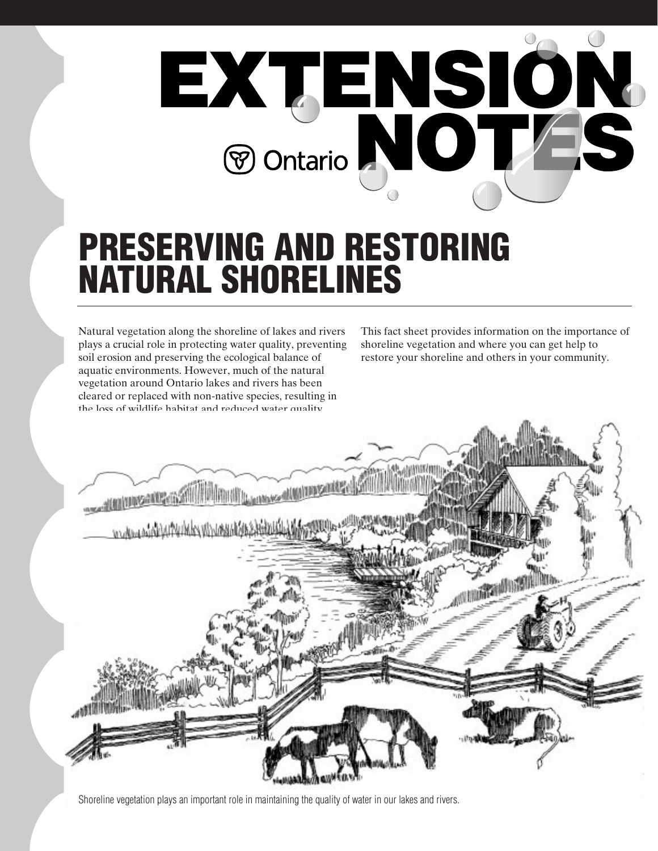

# **PRESERVING AND RESTORING NATURAL SHORELINES**

Natural vegetation along the shoreline of lakes and rivers plays a crucial role in protecting water quality, preventing soil erosion and preserving the ecological balance of aquatic environments. However, much of the natural vegetation around Ontario lakes and rivers has been cleared or replaced with non-native species, resulting in the loss of wildlife habitat and reduced water quality.

This fact sheet provides information on the importance of shoreline vegetation and where you can get help to restore your shoreline and others in your community.



Shoreline vegetation plays an important role in maintaining the quality of water in our lakes and rivers.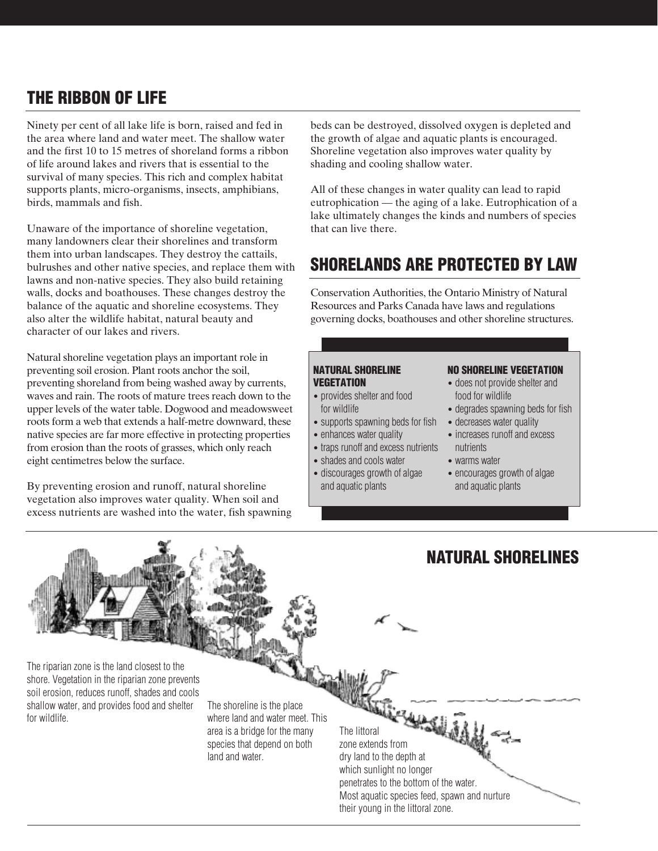# **THE RIBBON OF LIFE**

Ninety per cent of all lake life is born, raised and fed in the area where land and water meet. The shallow water and the first 10 to 15 metres of shoreland forms a ribbon of life around lakes and rivers that is essential to the survival of many species. This rich and complex habitat supports plants, micro-organisms, insects, amphibians, birds, mammals and fish.

Unaware of the importance of shoreline vegetation, many landowners clear their shorelines and transform them into urban landscapes. They destroy the cattails, bulrushes and other native species, and replace them with lawns and non-native species. They also build retaining walls, docks and boathouses. These changes destroy the balance of the aquatic and shoreline ecosystems. They also alter the wildlife habitat, natural beauty and character of our lakes and rivers.

Natural shoreline vegetation plays an important role in preventing soil erosion. Plant roots anchor the soil, preventing shoreland from being washed away by currents, waves and rain. The roots of mature trees reach down to the upper levels of the water table. Dogwood and meadowsweet roots form a web that extends a half-metre downward, these native species are far more effective in protecting properties from erosion than the roots of grasses, which only reach eight centimetres below the surface.

By preventing erosion and runoff, natural shoreline vegetation also improves water quality. When soil and excess nutrients are washed into the water, fish spawning beds can be destroyed, dissolved oxygen is depleted and the growth of algae and aquatic plants is encouraged. Shoreline vegetation also improves water quality by shading and cooling shallow water.

All of these changes in water quality can lead to rapid eutrophication — the aging of a lake. Eutrophication of a lake ultimately changes the kinds and numbers of species that can live there.

# **SHORELANDS ARE PROTECTED BY LAW**

Conservation Authorities, the Ontario Ministry of Natural Resources and Parks Canada have laws and regulations governing docks, boathouses and other shoreline structures.

#### **NATURAL SHORELINE VEGETATION**

- provides shelter and food for wildlife
- supports spawning beds for fish
- enhances water quality
- traps runoff and excess nutrients
- shades and cools water
- discourages growth of algae and aquatic plants

## **NO SHORELINE VEGETATION**

- does not provide shelter and food for wildlife
- degrades spawning beds for fish
- decreases water quality
- increases runoff and excess nutrients
- warms water
- encourages growth of algae and aquatic plants

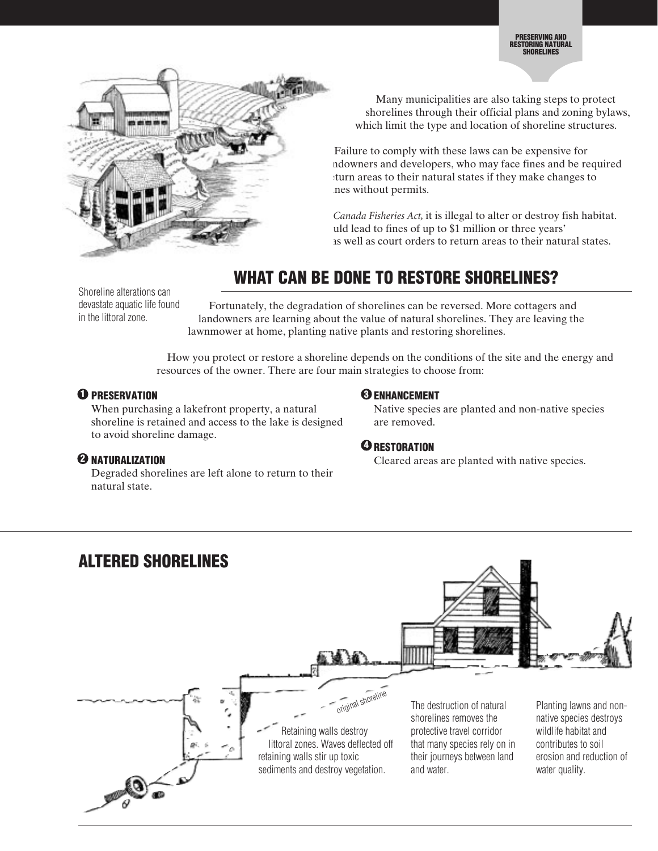

Many municipalities are also taking steps to protect shorelines through their official plans and zoning bylaws, which limit the type and location of shoreline structures.

Failure to comply with these laws can be expensive for ndowners and developers, who may face fines and be required turn areas to their natural states if they make changes to nes without permits.

Canada Fisheries Act, it is illegal to alter or destroy fish habitat. uld lead to fines of up to \$1 million or three years' as well as court orders to return areas to their natural states.

# **WHAT CAN BE DONE TO RESTORE SHORELINES?**

Shoreline alterations can devastate aquatic life found in the littoral zone.

Fortunately, the degradation of shorelines can be reversed. More cottagers and landowners are learning about the value of natural shorelines. They are leaving the lawnmower at home, planting native plants and restoring shorelines.

How you protect or restore a shoreline depends on the conditions of the site and the energy and resources of the owner. There are four main strategies to choose from:

# **D** PRESERVATION

When purchasing a lakefront property, a natural shoreline is retained and access to the lake is designed to avoid shoreline damage.

# **<sup>2</sup>** NATURALIZATION

Degraded shorelines are left alone to return to their natural state.

# **ENHANCEMENT 3**

Native species are planted and non-native species are removed.

# $\mathbf 3$  restoration

**2** Cleared areas are planted with native species.